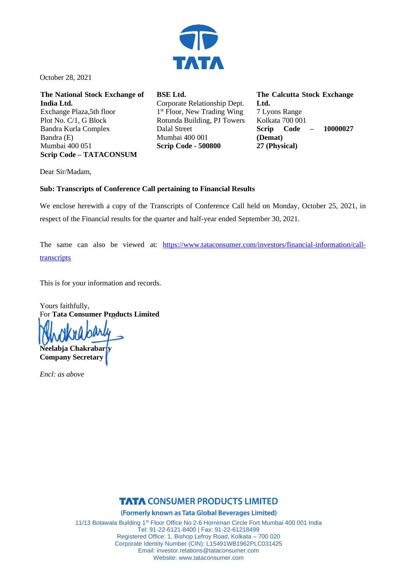

October 28, 2021

**The National Stock Exchange of India Ltd.** Exchange Plaza,5th floor Plot No. C/1, G Block Bandra Kurla Complex Bandra (E) Mumbai 400 051 **Scrip Code – TATACONSUM**

**BSE Ltd.** Corporate Relationship Dept. 1<sup>st</sup> Floor, New Trading Wing Rotunda Building, PJ Towers Dalal Street Mumbai 400 001 **Scrip Code - 500800**

**The Calcutta Stock Exchange Ltd.** 7 Lyons Range Kolkata 700 001 **Scrip Code – 10000027 (Demat) 27 (Physical)**

Dear Sir/Madam,

#### **Sub: Transcripts of Conference Call pertaining to Financial Results**

We enclose herewith a copy of the Transcripts of Conference Call held on Monday, October 25, 2021, in respect of the Financial results for the quarter and half-year ended September 30, 2021.

The same can also be viewed at: [https://www.tataconsumer.com/investors/financial-information/call](https://www.tataconsumer.com/investors/financial-information/call-transcripts)[transcripts](https://www.tataconsumer.com/investors/financial-information/call-transcripts)

This is for your information and records.

Yours faithfully, For **Tata Consumer Products Limited**

Ļ

**Neelabja Chakrabarty Company Secretary**

*Encl: as above*

# **TATA CONSUMER PRODUCTS LIMITED**

(Formerly known as Tata Global Beverages Limited)

11/13 Botawala Building 1<sup>st</sup> Floor Office No 2-6 Horniman Circle Fort Mumbai 400 001 India Tel: 91-22-6121-8400 | Fax: 91-22-61218499 Registered Office: 1, Bishop Lefroy Road, Kolkata – 700 020 Corporate Identity Number (CIN): L15491WB1962PLC031425 Email: investor.relations@tataconsumer.com Website: www.tataconsumer.com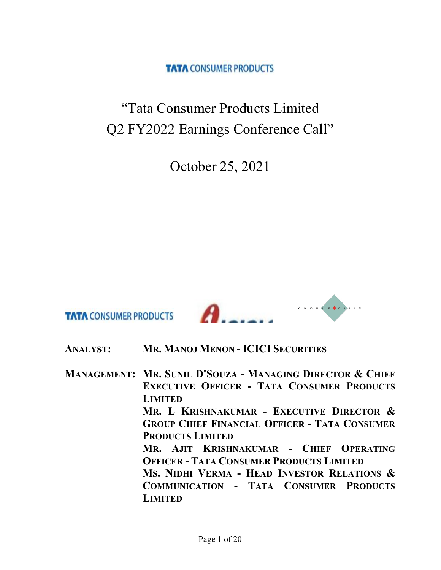"Tata Consumer Products Limited Q2 FY2022 Earnings Conference Call"

October 25, 2021

**TATA CONSUMER PRODUCTS** 



ANALYST: MR. MANOJ MENON - ICICI SECURITIES

MANAGEMENT: MR. SUNIL D'SOUZA - MANAGING DIRECTOR & CHIEF EXECUTIVE OFFICER - TATA CONSUMER PRODUCTS **LIMITED** MR. L KRISHNAKUMAR - EXECUTIVE DIRECTOR & GROUP CHIEF FINANCIAL OFFICER - TATA CONSUMER PRODUCTS LIMITED MR. AJIT KRISHNAKUMAR - CHIEF OPERATING OFFICER - TATA CONSUMER PRODUCTS LIMITED MS. NIDHI VERMA - HEAD INVESTOR RELATIONS & COMMUNICATION - TATA CONSUMER PRODUCTS **LIMITED**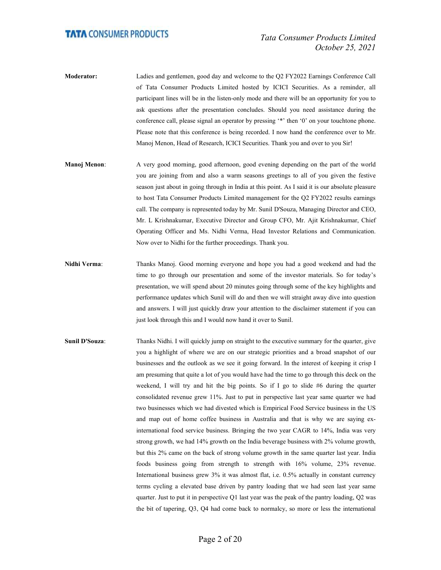- Moderator: Ladies and gentlemen, good day and welcome to the Q2 FY2022 Earnings Conference Call of Tata Consumer Products Limited hosted by ICICI Securities. As a reminder, all participant lines will be in the listen-only mode and there will be an opportunity for you to ask questions after the presentation concludes. Should you need assistance during the conference call, please signal an operator by pressing '\*' then '0' on your touchtone phone. Please note that this conference is being recorded. I now hand the conference over to Mr. Manoj Menon, Head of Research, ICICI Securities. Thank you and over to you Sir!
- Manoj Menon: A very good morning, good afternoon, good evening depending on the part of the world you are joining from and also a warm seasons greetings to all of you given the festive season just about in going through in India at this point. As I said it is our absolute pleasure to host Tata Consumer Products Limited management for the Q2 FY2022 results earnings call. The company is represented today by Mr. Sunil D'Souza, Managing Director and CEO, Mr. L Krishnakumar, Executive Director and Group CFO, Mr. Ajit Krishnakumar, Chief Operating Officer and Ms. Nidhi Verma, Head Investor Relations and Communication. Now over to Nidhi for the further proceedings. Thank you.
- Nidhi Verma: Thanks Manoj. Good morning everyone and hope you had a good weekend and had the time to go through our presentation and some of the investor materials. So for today's presentation, we will spend about 20 minutes going through some of the key highlights and performance updates which Sunil will do and then we will straight away dive into question and answers. I will just quickly draw your attention to the disclaimer statement if you can just look through this and I would now hand it over to Sunil.
- Sunil D'Souza: Thanks Nidhi. I will quickly jump on straight to the executive summary for the quarter, give you a highlight of where we are on our strategic priorities and a broad snapshot of our businesses and the outlook as we see it going forward. In the interest of keeping it crisp I am presuming that quite a lot of you would have had the time to go through this deck on the weekend, I will try and hit the big points. So if I go to slide #6 during the quarter consolidated revenue grew 11%. Just to put in perspective last year same quarter we had two businesses which we had divested which is Empirical Food Service business in the US and map out of home coffee business in Australia and that is why we are saying exinternational food service business. Bringing the two year CAGR to 14%, India was very strong growth, we had 14% growth on the India beverage business with 2% volume growth, but this 2% came on the back of strong volume growth in the same quarter last year. India foods business going from strength to strength with 16% volume, 23% revenue. International business grew 3% it was almost flat, i.e. 0.5% actually in constant currency terms cycling a elevated base driven by pantry loading that we had seen last year same quarter. Just to put it in perspective Q1 last year was the peak of the pantry loading, Q2 was the bit of tapering, Q3, Q4 had come back to normalcy, so more or less the international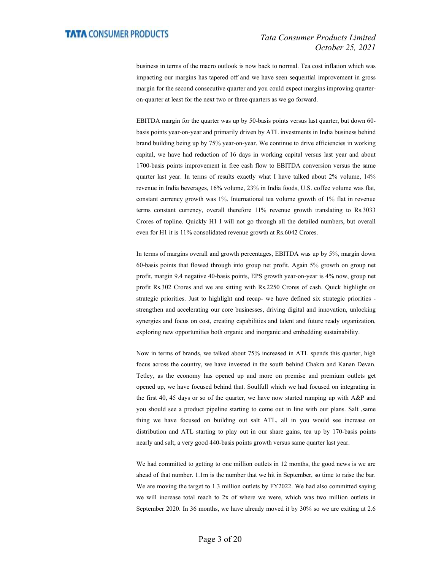business in terms of the macro outlook is now back to normal. Tea cost inflation which was impacting our margins has tapered off and we have seen sequential improvement in gross margin for the second consecutive quarter and you could expect margins improving quarteron-quarter at least for the next two or three quarters as we go forward.

 EBITDA margin for the quarter was up by 50-basis points versus last quarter, but down 60 basis points year-on-year and primarily driven by ATL investments in India business behind brand building being up by 75% year-on-year. We continue to drive efficiencies in working capital, we have had reduction of 16 days in working capital versus last year and about 1700-basis points improvement in free cash flow to EBITDA conversion versus the same quarter last year. In terms of results exactly what I have talked about 2% volume, 14% revenue in India beverages, 16% volume, 23% in India foods, U.S. coffee volume was flat, constant currency growth was 1%. International tea volume growth of 1% flat in revenue terms constant currency, overall therefore 11% revenue growth translating to Rs.3033 Crores of topline. Quickly H1 I will not go through all the detailed numbers, but overall even for H1 it is 11% consolidated revenue growth at Rs.6042 Crores.

 In terms of margins overall and growth percentages, EBITDA was up by 5%, margin down 60-basis points that flowed through into group net profit. Again 5% growth on group net profit, margin 9.4 negative 40-basis points, EPS growth year-on-year is 4% now, group net profit Rs.302 Crores and we are sitting with Rs.2250 Crores of cash. Quick highlight on strategic priorities. Just to highlight and recap- we have defined six strategic priorities strengthen and accelerating our core businesses, driving digital and innovation, unlocking synergies and focus on cost, creating capabilities and talent and future ready organization, exploring new opportunities both organic and inorganic and embedding sustainability.

 Now in terms of brands, we talked about 75% increased in ATL spends this quarter, high focus across the country, we have invested in the south behind Chakra and Kanan Devan. Tetley, as the economy has opened up and more on premise and premium outlets get opened up, we have focused behind that. Soulfull which we had focused on integrating in the first 40, 45 days or so of the quarter, we have now started ramping up with A&P and you should see a product pipeline starting to come out in line with our plans. Salt ,same thing we have focused on building out salt ATL, all in you would see increase on distribution and ATL starting to play out in our share gains, tea up by 170-basis points nearly and salt, a very good 440-basis points growth versus same quarter last year.

 We had committed to getting to one million outlets in 12 months, the good news is we are ahead of that number. 1.1m is the number that we hit in September, so time to raise the bar. We are moving the target to 1.3 million outlets by FY2022. We had also committed saying we will increase total reach to 2x of where we were, which was two million outlets in September 2020. In 36 months, we have already moved it by 30% so we are exiting at 2.6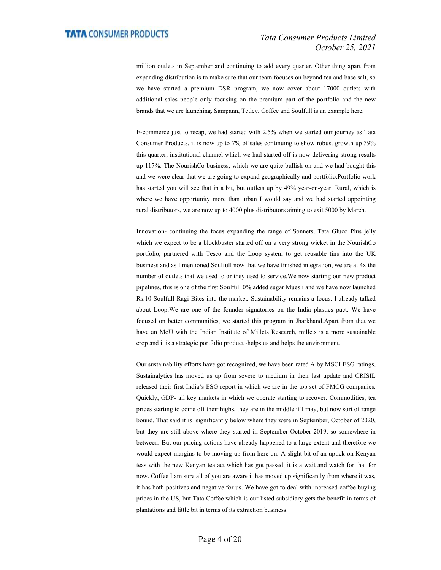million outlets in September and continuing to add every quarter. Other thing apart from expanding distribution is to make sure that our team focuses on beyond tea and base salt, so we have started a premium DSR program, we now cover about 17000 outlets with additional sales people only focusing on the premium part of the portfolio and the new brands that we are launching. Sampann, Tetley, Coffee and Soulfull is an example here.

 E-commerce just to recap, we had started with 2.5% when we started our journey as Tata Consumer Products, it is now up to 7% of sales continuing to show robust growth up 39% this quarter, institutional channel which we had started off is now delivering strong results up 117%. The NourishCo business, which we are quite bullish on and we had bought this and we were clear that we are going to expand geographically and portfolio.Portfolio work has started you will see that in a bit, but outlets up by 49% year-on-year. Rural, which is where we have opportunity more than urban I would say and we had started appointing rural distributors, we are now up to 4000 plus distributors aiming to exit 5000 by March.

 Innovation- continuing the focus expanding the range of Sonnets, Tata Gluco Plus jelly which we expect to be a blockbuster started off on a very strong wicket in the NourishCo portfolio, partnered with Tesco and the Loop system to get reusable tins into the UK business and as I mentioned Soulfull now that we have finished integration, we are at 4x the number of outlets that we used to or they used to service.We now starting our new product pipelines, this is one of the first Soulfull 0% added sugar Muesli and we have now launched Rs.10 Soulfull Ragi Bites into the market. Sustainability remains a focus. I already talked about Loop.We are one of the founder signatories on the India plastics pact. We have focused on better communities, we started this program in Jharkhand.Apart from that we have an MoU with the Indian Institute of Millets Research, millets is a more sustainable crop and it is a strategic portfolio product -helps us and helps the environment.

 Our sustainability efforts have got recognized, we have been rated A by MSCI ESG ratings, Sustainalytics has moved us up from severe to medium in their last update and CRISIL released their first India's ESG report in which we are in the top set of FMCG companies. Quickly, GDP- all key markets in which we operate starting to recover. Commodities, tea prices starting to come off their highs, they are in the middle if I may, but now sort of range bound. That said it is significantly below where they were in September, October of 2020, but they are still above where they started in September October 2019, so somewhere in between. But our pricing actions have already happened to a large extent and therefore we would expect margins to be moving up from here on. A slight bit of an uptick on Kenyan teas with the new Kenyan tea act which has got passed, it is a wait and watch for that for now. Coffee I am sure all of you are aware it has moved up significantly from where it was, it has both positives and negative for us. We have got to deal with increased coffee buying prices in the US, but Tata Coffee which is our listed subsidiary gets the benefit in terms of plantations and little bit in terms of its extraction business.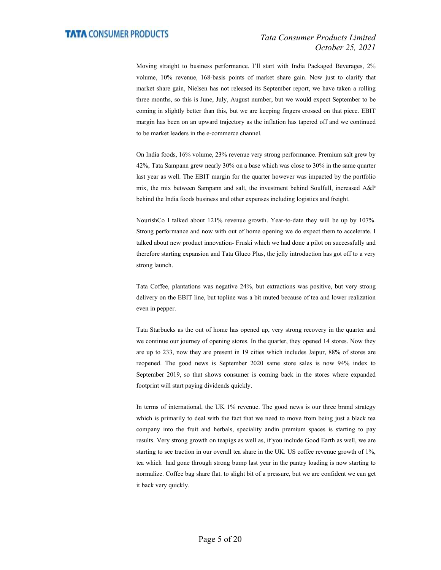Moving straight to business performance. I'll start with India Packaged Beverages, 2% volume, 10% revenue, 168-basis points of market share gain. Now just to clarify that market share gain, Nielsen has not released its September report, we have taken a rolling three months, so this is June, July, August number, but we would expect September to be coming in slightly better than this, but we are keeping fingers crossed on that piece. EBIT margin has been on an upward trajectory as the inflation has tapered off and we continued to be market leaders in the e-commerce channel.

 On India foods, 16% volume, 23% revenue very strong performance. Premium salt grew by 42%, Tata Sampann grew nearly 30% on a base which was close to 30% in the same quarter last year as well. The EBIT margin for the quarter however was impacted by the portfolio mix, the mix between Sampann and salt, the investment behind Soulfull, increased A&P behind the India foods business and other expenses including logistics and freight.

 NourishCo I talked about 121% revenue growth. Year-to-date they will be up by 107%. Strong performance and now with out of home opening we do expect them to accelerate. I talked about new product innovation- Fruski which we had done a pilot on successfully and therefore starting expansion and Tata Gluco Plus, the jelly introduction has got off to a very strong launch.

 Tata Coffee, plantations was negative 24%, but extractions was positive, but very strong delivery on the EBIT line, but topline was a bit muted because of tea and lower realization even in pepper.

 Tata Starbucks as the out of home has opened up, very strong recovery in the quarter and we continue our journey of opening stores. In the quarter, they opened 14 stores. Now they are up to 233, now they are present in 19 cities which includes Jaipur, 88% of stores are reopened. The good news is September 2020 same store sales is now 94% index to September 2019, so that shows consumer is coming back in the stores where expanded footprint will start paying dividends quickly.

 In terms of international, the UK 1% revenue. The good news is our three brand strategy which is primarily to deal with the fact that we need to move from being just a black tea company into the fruit and herbals, speciality andin premium spaces is starting to pay results. Very strong growth on teapigs as well as, if you include Good Earth as well, we are starting to see traction in our overall tea share in the UK. US coffee revenue growth of 1%, tea which had gone through strong bump last year in the pantry loading is now starting to normalize. Coffee bag share flat. to slight bit of a pressure, but we are confident we can get it back very quickly.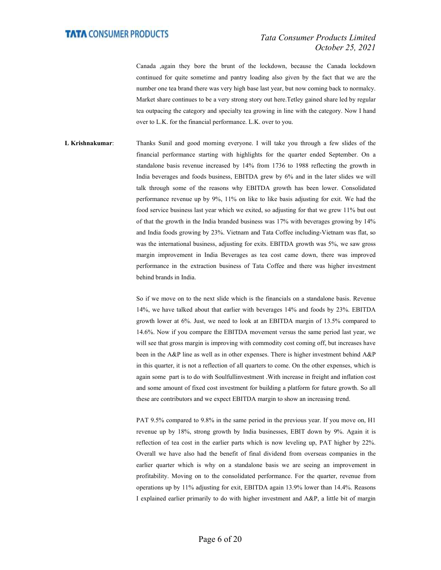Canada ,again they bore the brunt of the lockdown, because the Canada lockdown continued for quite sometime and pantry loading also given by the fact that we are the number one tea brand there was very high base last year, but now coming back to normalcy. Market share continues to be a very strong story out here.Tetley gained share led by regular tea outpacing the category and specialty tea growing in line with the category. Now I hand over to L.K. for the financial performance. L.K. over to you.

L Krishnakumar: Thanks Sunil and good morning everyone. I will take you through a few slides of the financial performance starting with highlights for the quarter ended September. On a standalone basis revenue increased by 14% from 1736 to 1988 reflecting the growth in India beverages and foods business, EBITDA grew by 6% and in the later slides we will talk through some of the reasons why EBITDA growth has been lower. Consolidated performance revenue up by 9%, 11% on like to like basis adjusting for exit. We had the food service business last year which we exited, so adjusting for that we grew 11% but out of that the growth in the India branded business was 17% with beverages growing by 14% and India foods growing by 23%. Vietnam and Tata Coffee including-Vietnam was flat, so was the international business, adjusting for exits. EBITDA growth was 5%, we saw gross margin improvement in India Beverages as tea cost came down, there was improved performance in the extraction business of Tata Coffee and there was higher investment behind brands in India.

> So if we move on to the next slide which is the financials on a standalone basis. Revenue 14%, we have talked about that earlier with beverages 14% and foods by 23%. EBITDA growth lower at 6%. Just, we need to look at an EBITDA margin of 13.5% compared to 14.6%. Now if you compare the EBITDA movement versus the same period last year, we will see that gross margin is improving with commodity cost coming off, but increases have been in the A&P line as well as in other expenses. There is higher investment behind A&P in this quarter, it is not a reflection of all quarters to come. On the other expenses, which is again some part is to do with Soulfullinvestment .With increase in freight and inflation cost and some amount of fixed cost investment for building a platform for future growth. So all these are contributors and we expect EBITDA margin to show an increasing trend.

> PAT 9.5% compared to 9.8% in the same period in the previous year. If you move on, H1 revenue up by 18%, strong growth by India businesses, EBIT down by 9%. Again it is reflection of tea cost in the earlier parts which is now leveling up, PAT higher by 22%. Overall we have also had the benefit of final dividend from overseas companies in the earlier quarter which is why on a standalone basis we are seeing an improvement in profitability. Moving on to the consolidated performance. For the quarter, revenue from operations up by 11% adjusting for exit, EBITDA again 13.9% lower than 14.4%. Reasons I explained earlier primarily to do with higher investment and A&P, a little bit of margin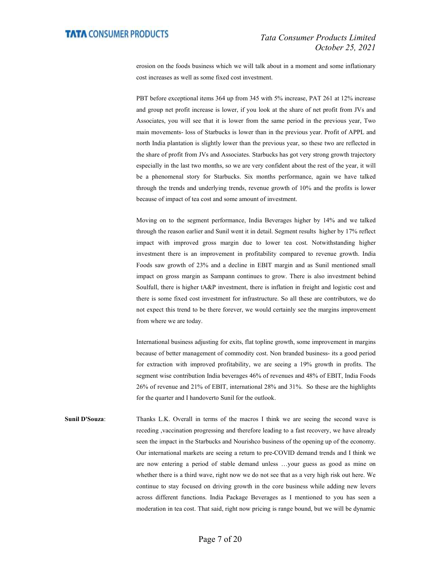erosion on the foods business which we will talk about in a moment and some inflationary cost increases as well as some fixed cost investment.

 PBT before exceptional items 364 up from 345 with 5% increase, PAT 261 at 12% increase and group net profit increase is lower, if you look at the share of net profit from JVs and Associates, you will see that it is lower from the same period in the previous year, Two main movements- loss of Starbucks is lower than in the previous year. Profit of APPL and north India plantation is slightly lower than the previous year, so these two are reflected in the share of profit from JVs and Associates. Starbucks has got very strong growth trajectory especially in the last two months, so we are very confident about the rest of the year, it will be a phenomenal story for Starbucks. Six months performance, again we have talked through the trends and underlying trends, revenue growth of 10% and the profits is lower because of impact of tea cost and some amount of investment.

 Moving on to the segment performance, India Beverages higher by 14% and we talked through the reason earlier and Sunil went it in detail. Segment results higher by 17% reflect impact with improved gross margin due to lower tea cost. Notwithstanding higher investment there is an improvement in profitability compared to revenue growth. India Foods saw growth of 23% and a decline in EBIT margin and as Sunil mentioned small impact on gross margin as Sampann continues to grow. There is also investment behind Soulfull, there is higher tA&P investment, there is inflation in freight and logistic cost and there is some fixed cost investment for infrastructure. So all these are contributors, we do not expect this trend to be there forever, we would certainly see the margins improvement from where we are today.

 International business adjusting for exits, flat topline growth, some improvement in margins because of better management of commodity cost. Non branded business- its a good period for extraction with improved profitability, we are seeing a 19% growth in profits. The segment wise contribution India beverages 46% of revenues and 48% of EBIT, India Foods 26% of revenue and 21% of EBIT, international 28% and 31%. So these are the highlights for the quarter and I handoverto Sunil for the outlook.

Sunil D'Souza: Thanks L.K. Overall in terms of the macros I think we are seeing the second wave is receding ,vaccination progressing and therefore leading to a fast recovery, we have already seen the impact in the Starbucks and Nourishco business of the opening up of the economy. Our international markets are seeing a return to pre-COVID demand trends and I think we are now entering a period of stable demand unless …your guess as good as mine on whether there is a third wave, right now we do not see that as a very high risk out here. We continue to stay focused on driving growth in the core business while adding new levers across different functions. India Package Beverages as I mentioned to you has seen a moderation in tea cost. That said, right now pricing is range bound, but we will be dynamic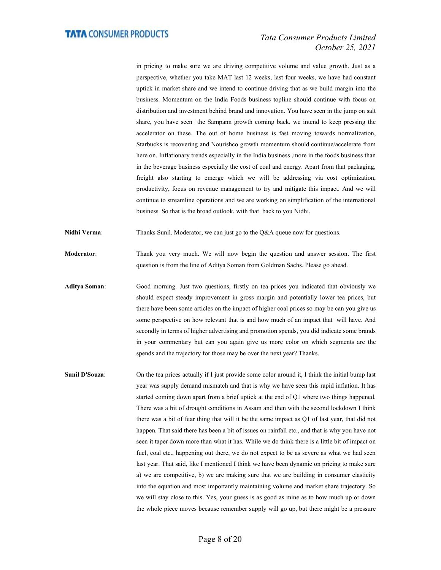in pricing to make sure we are driving competitive volume and value growth. Just as a perspective, whether you take MAT last 12 weeks, last four weeks, we have had constant uptick in market share and we intend to continue driving that as we build margin into the business. Momentum on the India Foods business topline should continue with focus on distribution and investment behind brand and innovation. You have seen in the jump on salt share, you have seen the Sampann growth coming back, we intend to keep pressing the accelerator on these. The out of home business is fast moving towards normalization, Starbucks is recovering and Nourishco growth momentum should continue/accelerate from here on. Inflationary trends especially in the India business, more in the foods business than in the beverage business especially the cost of coal and energy. Apart from that packaging, freight also starting to emerge which we will be addressing via cost optimization, productivity, focus on revenue management to try and mitigate this impact. And we will continue to streamline operations and we are working on simplification of the international business. So that is the broad outlook, with that back to you Nidhi.

Nidhi Verma: Thanks Sunil. Moderator, we can just go to the Q&A queue now for questions.

Moderator: Thank you very much. We will now begin the question and answer session. The first question is from the line of Aditya Soman from Goldman Sachs. Please go ahead.

- Aditya Soman: Good morning. Just two questions, firstly on tea prices you indicated that obviously we should expect steady improvement in gross margin and potentially lower tea prices, but there have been some articles on the impact of higher coal prices so may be can you give us some perspective on how relevant that is and how much of an impact that will have. And secondly in terms of higher advertising and promotion spends, you did indicate some brands in your commentary but can you again give us more color on which segments are the spends and the trajectory for those may be over the next year? Thanks.
- Sunil D'Souza: On the tea prices actually if I just provide some color around it, I think the initial bump last year was supply demand mismatch and that is why we have seen this rapid inflation. It has started coming down apart from a brief uptick at the end of Q1 where two things happened. There was a bit of drought conditions in Assam and then with the second lockdown I think there was a bit of fear thing that will it be the same impact as Q1 of last year, that did not happen. That said there has been a bit of issues on rainfall etc., and that is why you have not seen it taper down more than what it has. While we do think there is a little bit of impact on fuel, coal etc., happening out there, we do not expect to be as severe as what we had seen last year. That said, like I mentioned I think we have been dynamic on pricing to make sure a) we are competitive, b) we are making sure that we are building in consumer elasticity into the equation and most importantly maintaining volume and market share trajectory. So we will stay close to this. Yes, your guess is as good as mine as to how much up or down the whole piece moves because remember supply will go up, but there might be a pressure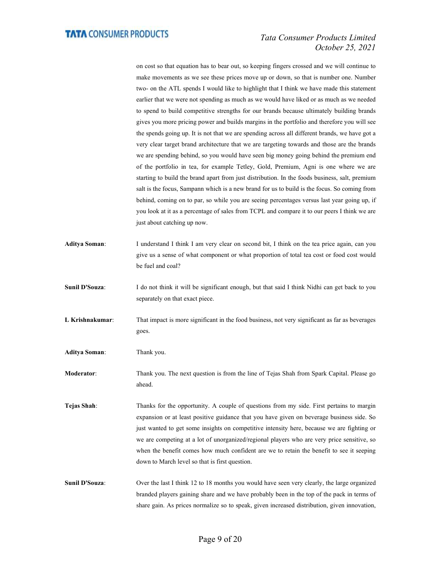on cost so that equation has to bear out, so keeping fingers crossed and we will continue to make movements as we see these prices move up or down, so that is number one. Number two- on the ATL spends I would like to highlight that I think we have made this statement earlier that we were not spending as much as we would have liked or as much as we needed to spend to build competitive strengths for our brands because ultimately building brands gives you more pricing power and builds margins in the portfolio and therefore you will see the spends going up. It is not that we are spending across all different brands, we have got a very clear target brand architecture that we are targeting towards and those are the brands we are spending behind, so you would have seen big money going behind the premium end of the portfolio in tea, for example Tetley, Gold, Premium, Agni is one where we are starting to build the brand apart from just distribution. In the foods business, salt, premium salt is the focus, Sampann which is a new brand for us to build is the focus. So coming from behind, coming on to par, so while you are seeing percentages versus last year going up, if you look at it as a percentage of sales from TCPL and compare it to our peers I think we are just about catching up now.

- Aditya Soman: I understand I think I am very clear on second bit, I think on the tea price again, can you give us a sense of what component or what proportion of total tea cost or food cost would be fuel and coal?
- Sunil D'Souza: I do not think it will be significant enough, but that said I think Nidhi can get back to you separately on that exact piece.
- L Krishnakumar: That impact is more significant in the food business, not very significant as far as beverages goes.
- Aditya Soman: Thank you.
- Moderator: Thank you. The next question is from the line of Tejas Shah from Spark Capital. Please go ahead.
- Tejas Shah: Thanks for the opportunity. A couple of questions from my side. First pertains to margin expansion or at least positive guidance that you have given on beverage business side. So just wanted to get some insights on competitive intensity here, because we are fighting or we are competing at a lot of unorganized/regional players who are very price sensitive, so when the benefit comes how much confident are we to retain the benefit to see it seeping down to March level so that is first question.
- Sunil D'Souza: Over the last I think 12 to 18 months you would have seen very clearly, the large organized branded players gaining share and we have probably been in the top of the pack in terms of share gain. As prices normalize so to speak, given increased distribution, given innovation,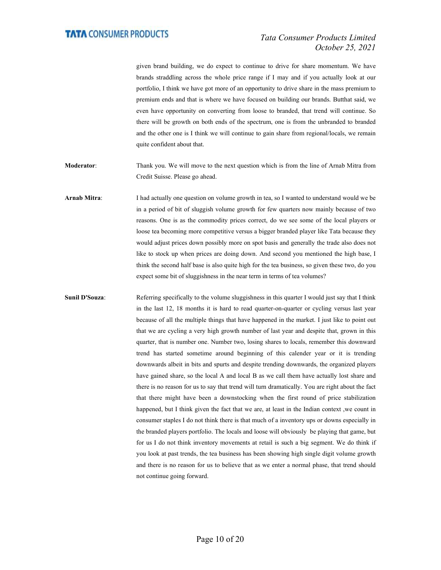given brand building, we do expect to continue to drive for share momentum. We have brands straddling across the whole price range if I may and if you actually look at our portfolio, I think we have got more of an opportunity to drive share in the mass premium to premium ends and that is where we have focused on building our brands. Butthat said, we even have opportunity on converting from loose to branded, that trend will continue. So there will be growth on both ends of the spectrum, one is from the unbranded to branded and the other one is I think we will continue to gain share from regional/locals, we remain quite confident about that.

Moderator: Thank you. We will move to the next question which is from the line of Arnab Mitra from Credit Suisse. Please go ahead.

Arnab Mitra: I had actually one question on volume growth in tea, so I wanted to understand would we be in a period of bit of sluggish volume growth for few quarters now mainly because of two reasons. One is as the commodity prices correct, do we see some of the local players or loose tea becoming more competitive versus a bigger branded player like Tata because they would adjust prices down possibly more on spot basis and generally the trade also does not like to stock up when prices are doing down. And second you mentioned the high base, I think the second half base is also quite high for the tea business, so given these two, do you expect some bit of sluggishness in the near term in terms of tea volumes?

Sunil D'Souza: Referring specifically to the volume sluggishness in this quarter I would just say that I think in the last 12, 18 months it is hard to read quarter-on-quarter or cycling versus last year because of all the multiple things that have happened in the market. I just like to point out that we are cycling a very high growth number of last year and despite that, grown in this quarter, that is number one. Number two, losing shares to locals, remember this downward trend has started sometime around beginning of this calender year or it is trending downwards albeit in bits and spurts and despite trending downwards, the organized players have gained share, so the local A and local B as we call them have actually lost share and there is no reason for us to say that trend will turn dramatically. You are right about the fact that there might have been a downstocking when the first round of price stabilization happened, but I think given the fact that we are, at least in the Indian context , we count in consumer staples I do not think there is that much of a inventory ups or downs especially in the branded players portfolio. The locals and loose will obviously be playing that game, but for us I do not think inventory movements at retail is such a big segment. We do think if you look at past trends, the tea business has been showing high single digit volume growth and there is no reason for us to believe that as we enter a normal phase, that trend should not continue going forward.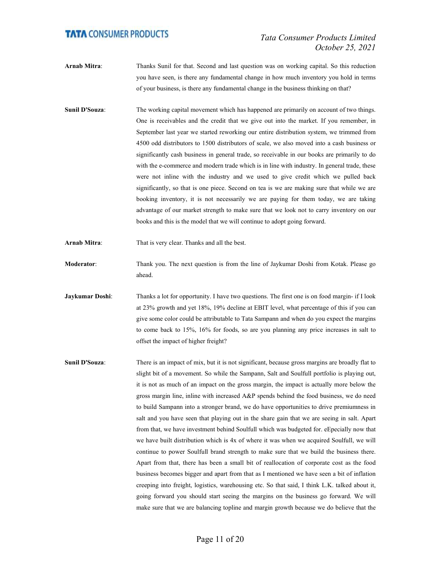- Arnab Mitra: Thanks Sunil for that. Second and last question was on working capital. So this reduction you have seen, is there any fundamental change in how much inventory you hold in terms of your business, is there any fundamental change in the business thinking on that?
- Sunil D'Souza: The working capital movement which has happened are primarily on account of two things. One is receivables and the credit that we give out into the market. If you remember, in September last year we started reworking our entire distribution system, we trimmed from 4500 odd distributors to 1500 distributors of scale, we also moved into a cash business or significantly cash business in general trade, so receivable in our books are primarily to do with the e-commerce and modern trade which is in line with industry. In general trade, these were not inline with the industry and we used to give credit which we pulled back significantly, so that is one piece. Second on tea is we are making sure that while we are booking inventory, it is not necessarily we are paying for them today, we are taking advantage of our market strength to make sure that we look not to carry inventory on our books and this is the model that we will continue to adopt going forward.

Arnab Mitra: That is very clear. Thanks and all the best.

- Moderator: Thank you. The next question is from the line of Jaykumar Doshi from Kotak. Please go ahead.
- Jaykumar Doshi: Thanks a lot for opportunity. I have two questions. The first one is on food margin- if I look at 23% growth and yet 18%, 19% decline at EBIT level, what percentage of this if you can give some color could be attributable to Tata Sampann and when do you expect the margins to come back to 15%, 16% for foods, so are you planning any price increases in salt to offset the impact of higher freight?
- Sunil D'Souza: There is an impact of mix, but it is not significant, because gross margins are broadly flat to slight bit of a movement. So while the Sampann, Salt and Soulfull portfolio is playing out, it is not as much of an impact on the gross margin, the impact is actually more below the gross margin line, inline with increased A&P spends behind the food business, we do need to build Sampann into a stronger brand, we do have opportunities to drive premiumness in salt and you have seen that playing out in the share gain that we are seeing in salt. Apart from that, we have investment behind Soulfull which was budgeted for. eEpecially now that we have built distribution which is 4x of where it was when we acquired Soulfull, we will continue to power Soulfull brand strength to make sure that we build the business there. Apart from that, there has been a small bit of reallocation of corporate cost as the food business becomes bigger and apart from that as I mentioned we have seen a bit of inflation creeping into freight, logistics, warehousing etc. So that said, I think L.K. talked about it, going forward you should start seeing the margins on the business go forward. We will make sure that we are balancing topline and margin growth because we do believe that the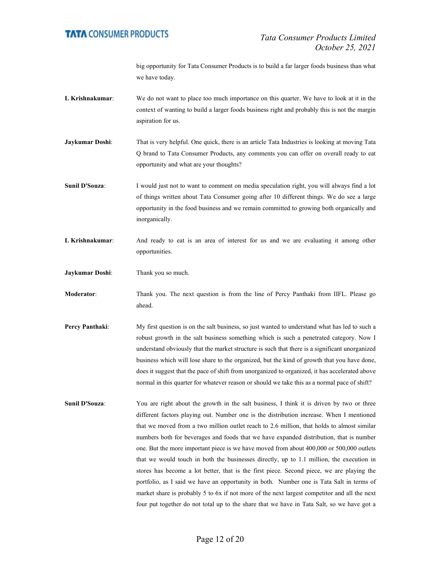big opportunity for Tata Consumer Products is to build a far larger foods business than what we have today.

- L Krishnakumar: We do not want to place too much importance on this quarter. We have to look at it in the context of wanting to build a larger foods business right and probably this is not the margin aspiration for us.
- Jaykumar Doshi: That is very helpful. One quick, there is an article Tata Industries is looking at moving Tata Q brand to Tata Consumer Products, any comments you can offer on overall ready to eat opportunity and what are your thoughts?
- Sunil D'Souza: I would just not to want to comment on media speculation right, you will always find a lot of things written about Tata Consumer going after 10 different things. We do see a large opportunity in the food business and we remain committed to growing both organically and inorganically.
- L Krishnakumar: And ready to eat is an area of interest for us and we are evaluating it among other opportunities.
- Jaykumar Doshi: Thank you so much.
- Moderator: Thank you. The next question is from the line of Percy Panthaki from IIFL. Please go ahead.
- Percy Panthaki: My first question is on the salt business, so just wanted to understand what has led to such a robust growth in the salt business something which is such a penetrated category. Now I understand obviously that the market structure is such that there is a significant unorganized business which will lose share to the organized, but the kind of growth that you have done, does it suggest that the pace of shift from unorganized to organized, it has accelerated above normal in this quarter for whatever reason or should we take this as a normal pace of shift?
- Sunil D'Souza: You are right about the growth in the salt business, I think it is driven by two or three different factors playing out. Number one is the distribution increase. When I mentioned that we moved from a two million outlet reach to 2.6 million, that holds to almost similar numbers both for beverages and foods that we have expanded distribution, that is number one. But the more important piece is we have moved from about 400,000 or 500,000 outlets that we would touch in both the businesses directly, up to 1.1 million, the execution in stores has become a lot better, that is the first piece. Second piece, we are playing the portfolio, as I said we have an opportunity in both. Number one is Tata Salt in terms of market share is probably 5 to 6x if not more of the next largest competitor and all the next four put together do not total up to the share that we have in Tata Salt, so we have got a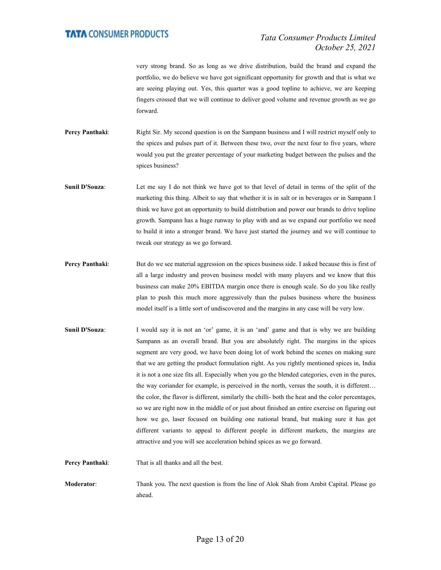very strong brand. So as long as we drive distribution, build the brand and expand the portfolio, we do believe we have got significant opportunity for growth and that is what we are seeing playing out. Yes, this quarter was a good topline to achieve, we are keeping fingers crossed that we will continue to deliver good volume and revenue growth as we go forward.

Percy Panthaki: Right Sir. My second question is on the Sampann business and I will restrict myself only to the spices and pulses part of it. Between these two, over the next four to five years, where would you put the greater percentage of your marketing budget between the pulses and the spices business?

- Sunil D'Souza: Let me say I do not think we have got to that level of detail in terms of the split of the marketing this thing. Albeit to say that whether it is in salt or in beverages or in Sampann I think we have got an opportunity to build distribution and power our brands to drive topline growth. Sampann has a huge runway to play with and as we expand our portfolio we need to build it into a stronger brand. We have just started the journey and we will continue to tweak our strategy as we go forward.
- Percy Panthaki: But do we see material aggression on the spices business side. I asked because this is first of all a large industry and proven business model with many players and we know that this business can make 20% EBITDA margin once there is enough scale. So do you like really plan to push this much more aggressively than the pulses business where the business model itself is a little sort of undiscovered and the margins in any case will be very low.
- Sunil D'Souza: I would say it is not an 'or' game, it is an 'and' game and that is why we are building Sampann as an overall brand. But you are absolutely right. The margins in the spices segment are very good, we have been doing lot of work behind the scenes on making sure that we are getting the product formulation right. As you rightly mentioned spices in, India it is not a one size fits all. Especially when you go the blended categories, even in the pures, the way coriander for example, is perceived in the north, versus the south, it is different… the color, the flavor is different, similarly the chilli- both the heat and the color percentages, so we are right now in the middle of or just about finished an entire exercise on figuring out how we go, laser focused on building one national brand, but making sure it has got different variants to appeal to different people in different markets, the margins are attractive and you will see acceleration behind spices as we go forward.

Percy Panthaki: That is all thanks and all the best.

Moderator: Thank you. The next question is from the line of Alok Shah from Ambit Capital. Please go ahead.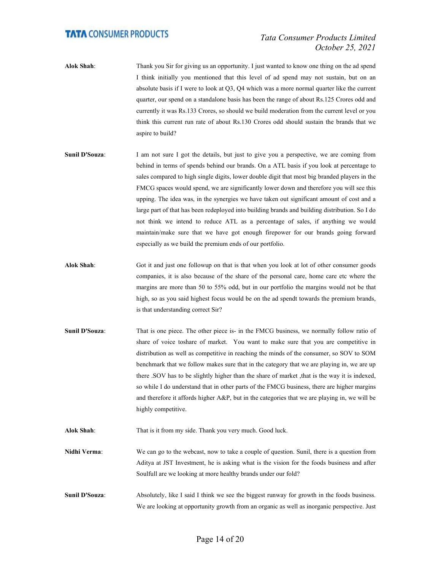- Alok Shah: Thank you Sir for giving us an opportunity. I just wanted to know one thing on the ad spend I think initially you mentioned that this level of ad spend may not sustain, but on an absolute basis if I were to look at Q3, Q4 which was a more normal quarter like the current quarter, our spend on a standalone basis has been the range of about Rs.125 Crores odd and currently it was Rs.133 Crores, so should we build moderation from the current level or you think this current run rate of about Rs.130 Crores odd should sustain the brands that we aspire to build?
- Sunil D'Souza: I am not sure I got the details, but just to give you a perspective, we are coming from behind in terms of spends behind our brands. On a ATL basis if you look at percentage to sales compared to high single digits, lower double digit that most big branded players in the FMCG spaces would spend, we are significantly lower down and therefore you will see this upping. The idea was, in the synergies we have taken out significant amount of cost and a large part of that has been redeployed into building brands and building distribution. So I do not think we intend to reduce ATL as a percentage of sales, if anything we would maintain/make sure that we have got enough firepower for our brands going forward especially as we build the premium ends of our portfolio.
- Alok Shah: Got it and just one followup on that is that when you look at lot of other consumer goods companies, it is also because of the share of the personal care, home care etc where the margins are more than 50 to 55% odd, but in our portfolio the margins would not be that high, so as you said highest focus would be on the ad spendt towards the premium brands, is that understanding correct Sir?
- Sunil D'Souza: That is one piece. The other piece is- in the FMCG business, we normally follow ratio of share of voice toshare of market. You want to make sure that you are competitive in distribution as well as competitive in reaching the minds of the consumer, so SOV to SOM benchmark that we follow makes sure that in the category that we are playing in, we are up there .SOV has to be slightly higher than the share of market, that is the way it is indexed, so while I do understand that in other parts of the FMCG business, there are higher margins and therefore it affords higher A&P, but in the categories that we are playing in, we will be highly competitive.

Alok Shah: That is it from my side. Thank you very much. Good luck.

Nidhi Verma: We can go to the webcast, now to take a couple of question. Sunil, there is a question from Aditya at JST Investment, he is asking what is the vision for the foods business and after Soulfull are we looking at more healthy brands under our fold?

Sunil D'Souza: Absolutely, like I said I think we see the biggest runway for growth in the foods business. We are looking at opportunity growth from an organic as well as inorganic perspective. Just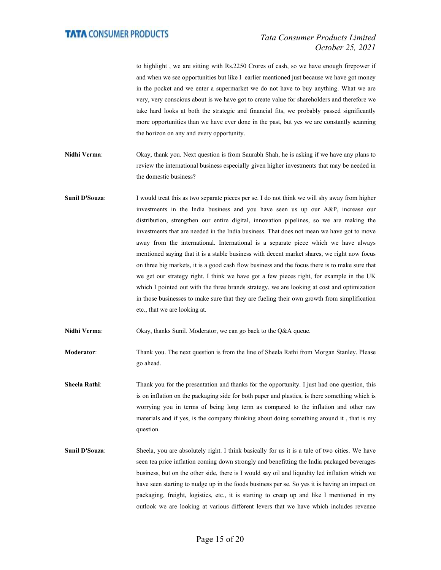to highlight , we are sitting with Rs.2250 Crores of cash, so we have enough firepower if and when we see opportunities but like I earlier mentioned just because we have got money in the pocket and we enter a supermarket we do not have to buy anything. What we are very, very conscious about is we have got to create value for shareholders and therefore we take hard looks at both the strategic and financial fits, we probably passed significantly more opportunities than we have ever done in the past, but yes we are constantly scanning the horizon on any and every opportunity.

- Nidhi Verma: Okay, thank you. Next question is from Saurabh Shah, he is asking if we have any plans to review the international business especially given higher investments that may be needed in the domestic business?
- Sunil D'Souza: I would treat this as two separate pieces per se. I do not think we will shy away from higher investments in the India business and you have seen us up our A&P, increase our distribution, strengthen our entire digital, innovation pipelines, so we are making the investments that are needed in the India business. That does not mean we have got to move away from the international. International is a separate piece which we have always mentioned saying that it is a stable business with decent market shares, we right now focus on three big markets, it is a good cash flow business and the focus there is to make sure that we get our strategy right. I think we have got a few pieces right, for example in the UK which I pointed out with the three brands strategy, we are looking at cost and optimization in those businesses to make sure that they are fueling their own growth from simplification etc., that we are looking at.

Nidhi Verma: Okay, thanks Sunil. Moderator, we can go back to the Q&A queue.

Moderator: Thank you. The next question is from the line of Sheela Rathi from Morgan Stanley. Please go ahead.

Sheela Rathi: Thank you for the presentation and thanks for the opportunity. I just had one question, this is on inflation on the packaging side for both paper and plastics, is there something which is worrying you in terms of being long term as compared to the inflation and other raw materials and if yes, is the company thinking about doing something around it , that is my question.

Sunil D'Souza: Sheela, you are absolutely right. I think basically for us it is a tale of two cities. We have seen tea price inflation coming down strongly and benefitting the India packaged beverages business, but on the other side, there is I would say oil and liquidity led inflation which we have seen starting to nudge up in the foods business per se. So yes it is having an impact on packaging, freight, logistics, etc., it is starting to creep up and like I mentioned in my outlook we are looking at various different levers that we have which includes revenue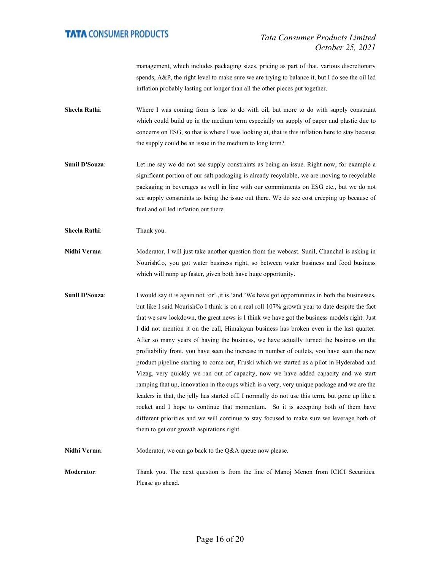management, which includes packaging sizes, pricing as part of that, various discretionary spends, A&P, the right level to make sure we are trying to balance it, but I do see the oil led inflation probably lasting out longer than all the other pieces put together.

- Sheela Rathi: Where I was coming from is less to do with oil, but more to do with supply constraint which could build up in the medium term especially on supply of paper and plastic due to concerns on ESG, so that is where I was looking at, that is this inflation here to stay because the supply could be an issue in the medium to long term?
- Sunil D'Souza: Let me say we do not see supply constraints as being an issue. Right now, for example a significant portion of our salt packaging is already recyclable, we are moving to recyclable packaging in beverages as well in line with our commitments on ESG etc., but we do not see supply constraints as being the issue out there. We do see cost creeping up because of fuel and oil led inflation out there.
- Sheela Rathi: Thank you.
- Nidhi Verma: Moderator, I will just take another question from the webcast. Sunil, Chanchal is asking in NourishCo, you got water business right, so between water business and food business which will ramp up faster, given both have huge opportunity.
- Sunil D'Souza: I would say it is again not 'or', it is 'and.' We have got opportunities in both the businesses, but like I said NourishCo I think is on a real roll 107% growth year to date despite the fact that we saw lockdown, the great news is I think we have got the business models right. Just I did not mention it on the call, Himalayan business has broken even in the last quarter. After so many years of having the business, we have actually turned the business on the profitability front, you have seen the increase in number of outlets, you have seen the new product pipeline starting to come out, Fruski which we started as a pilot in Hyderabad and Vizag, very quickly we ran out of capacity, now we have added capacity and we start ramping that up, innovation in the cups which is a very, very unique package and we are the leaders in that, the jelly has started off, I normally do not use this term, but gone up like a rocket and I hope to continue that momentum. So it is accepting both of them have different priorities and we will continue to stay focused to make sure we leverage both of them to get our growth aspirations right.

Nidhi Verma: Moderator, we can go back to the Q&A queue now please.

Moderator: Thank you. The next question is from the line of Manoj Menon from ICICI Securities. Please go ahead.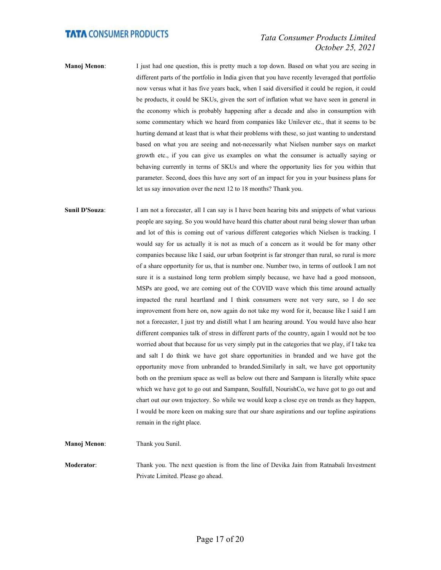Manoj Menon: Thank you Sunil.

#### Tata Consumer Products Limited October 25, 2021

Manoj Menon: I just had one question, this is pretty much a top down. Based on what you are seeing in different parts of the portfolio in India given that you have recently leveraged that portfolio now versus what it has five years back, when I said diversified it could be region, it could be products, it could be SKUs, given the sort of inflation what we have seen in general in the economy which is probably happening after a decade and also in consumption with some commentary which we heard from companies like Unilever etc., that it seems to be hurting demand at least that is what their problems with these, so just wanting to understand based on what you are seeing and not-necessarily what Nielsen number says on market growth etc., if you can give us examples on what the consumer is actually saying or behaving currently in terms of SKUs and where the opportunity lies for you within that parameter. Second, does this have any sort of an impact for you in your business plans for let us say innovation over the next 12 to 18 months? Thank you.

Sunil D'Souza: I am not a forecaster, all I can say is I have been hearing bits and snippets of what various people are saying. So you would have heard this chatter about rural being slower than urban and lot of this is coming out of various different categories which Nielsen is tracking. I would say for us actually it is not as much of a concern as it would be for many other companies because like I said, our urban footprint is far stronger than rural, so rural is more of a share opportunity for us, that is number one. Number two, in terms of outlook I am not sure it is a sustained long term problem simply because, we have had a good monsoon, MSPs are good, we are coming out of the COVID wave which this time around actually impacted the rural heartland and I think consumers were not very sure, so I do see improvement from here on, now again do not take my word for it, because like I said I am not a forecaster, I just try and distill what I am hearing around. You would have also hear different companies talk of stress in different parts of the country, again I would not be too worried about that because for us very simply put in the categories that we play, if I take tea and salt I do think we have got share opportunities in branded and we have got the opportunity move from unbranded to branded.Similarly in salt, we have got opportunity both on the premium space as well as below out there and Sampann is literally white space which we have got to go out and Sampann, Soulfull, NourishCo, we have got to go out and chart out our own trajectory. So while we would keep a close eye on trends as they happen, I would be more keen on making sure that our share aspirations and our topline aspirations remain in the right place.

Moderator: Thank you. The next question is from the line of Devika Jain from Ratnabali Investment Private Limited. Please go ahead.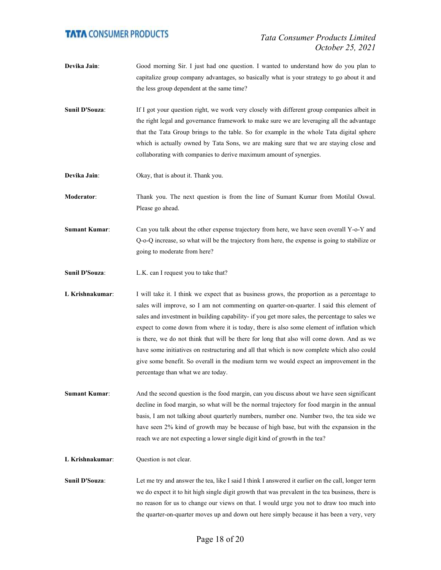- Devika Jain: Good morning Sir. I just had one question. I wanted to understand how do you plan to capitalize group company advantages, so basically what is your strategy to go about it and the less group dependent at the same time?
- Sunil D'Souza: If I got your question right, we work very closely with different group companies albeit in the right legal and governance framework to make sure we are leveraging all the advantage that the Tata Group brings to the table. So for example in the whole Tata digital sphere which is actually owned by Tata Sons, we are making sure that we are staying close and collaborating with companies to derive maximum amount of synergies.
- Devika Jain: Okay, that is about it. Thank you.

Moderator: Thank you. The next question is from the line of Sumant Kumar from Motilal Oswal. Please go ahead.

Sumant Kumar: Can you talk about the other expense trajectory from here, we have seen overall Y-o-Y and Q-o-Q increase, so what will be the trajectory from here, the expense is going to stabilize or going to moderate from here?

Sunil D'Souza: L.K. can I request you to take that?

L Krishnakumar: I will take it. I think we expect that as business grows, the proportion as a percentage to sales will improve, so I am not commenting on quarter-on-quarter. I said this element of sales and investment in building capability- if you get more sales, the percentage to sales we expect to come down from where it is today, there is also some element of inflation which is there, we do not think that will be there for long that also will come down. And as we have some initiatives on restructuring and all that which is now complete which also could give some benefit. So overall in the medium term we would expect an improvement in the percentage than what we are today.

Sumant Kumar: And the second question is the food margin, can you discuss about we have seen significant decline in food margin, so what will be the normal trajectory for food margin in the annual basis, I am not talking about quarterly numbers, number one. Number two, the tea side we have seen 2% kind of growth may be because of high base, but with the expansion in the reach we are not expecting a lower single digit kind of growth in the tea?

L Krishnakumar: Question is not clear.

Sunil D'Souza: Let me try and answer the tea, like I said I think I answered it earlier on the call, longer term we do expect it to hit high single digit growth that was prevalent in the tea business, there is no reason for us to change our views on that. I would urge you not to draw too much into the quarter-on-quarter moves up and down out here simply because it has been a very, very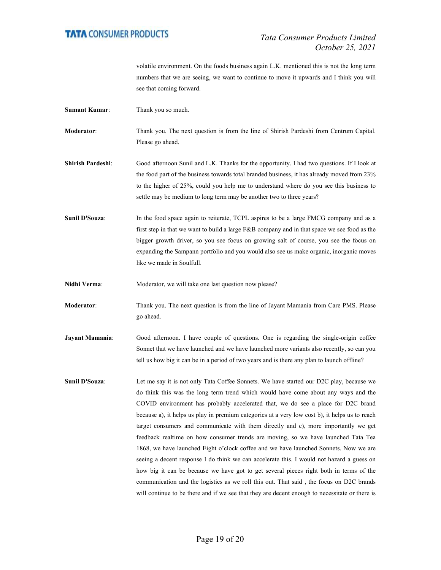volatile environment. On the foods business again L.K. mentioned this is not the long term numbers that we are seeing, we want to continue to move it upwards and I think you will see that coming forward.

Sumant Kumar: Thank you so much.

Moderator: Thank you. The next question is from the line of Shirish Pardeshi from Centrum Capital. Please go ahead.

- Shirish Pardeshi: Good afternoon Sunil and L.K. Thanks for the opportunity. I had two questions. If I look at the food part of the business towards total branded business, it has already moved from 23% to the higher of 25%, could you help me to understand where do you see this business to settle may be medium to long term may be another two to three years?
- Sunil D'Souza: In the food space again to reiterate, TCPL aspires to be a large FMCG company and as a first step in that we want to build a large F&B company and in that space we see food as the bigger growth driver, so you see focus on growing salt of course, you see the focus on expanding the Sampann portfolio and you would also see us make organic, inorganic moves like we made in Soulfull.
- Nidhi Verma: Moderator, we will take one last question now please?
- Moderator: Thank you. The next question is from the line of Jayant Mamania from Care PMS. Please go ahead.
- Jayant Mamania: Good afternoon. I have couple of questions. One is regarding the single-origin coffee Sonnet that we have launched and we have launched more variants also recently, so can you tell us how big it can be in a period of two years and is there any plan to launch offline?
- Sunil D'Souza: Let me say it is not only Tata Coffee Sonnets. We have started our D2C play, because we do think this was the long term trend which would have come about any ways and the COVID environment has probably accelerated that, we do see a place for D2C brand because a), it helps us play in premium categories at a very low cost b), it helps us to reach target consumers and communicate with them directly and c), more importantly we get feedback realtime on how consumer trends are moving, so we have launched Tata Tea 1868, we have launched Eight o'clock coffee and we have launched Sonnets. Now we are seeing a decent response I do think we can accelerate this. I would not hazard a guess on how big it can be because we have got to get several pieces right both in terms of the communication and the logistics as we roll this out. That said , the focus on D2C brands will continue to be there and if we see that they are decent enough to necessitate or there is